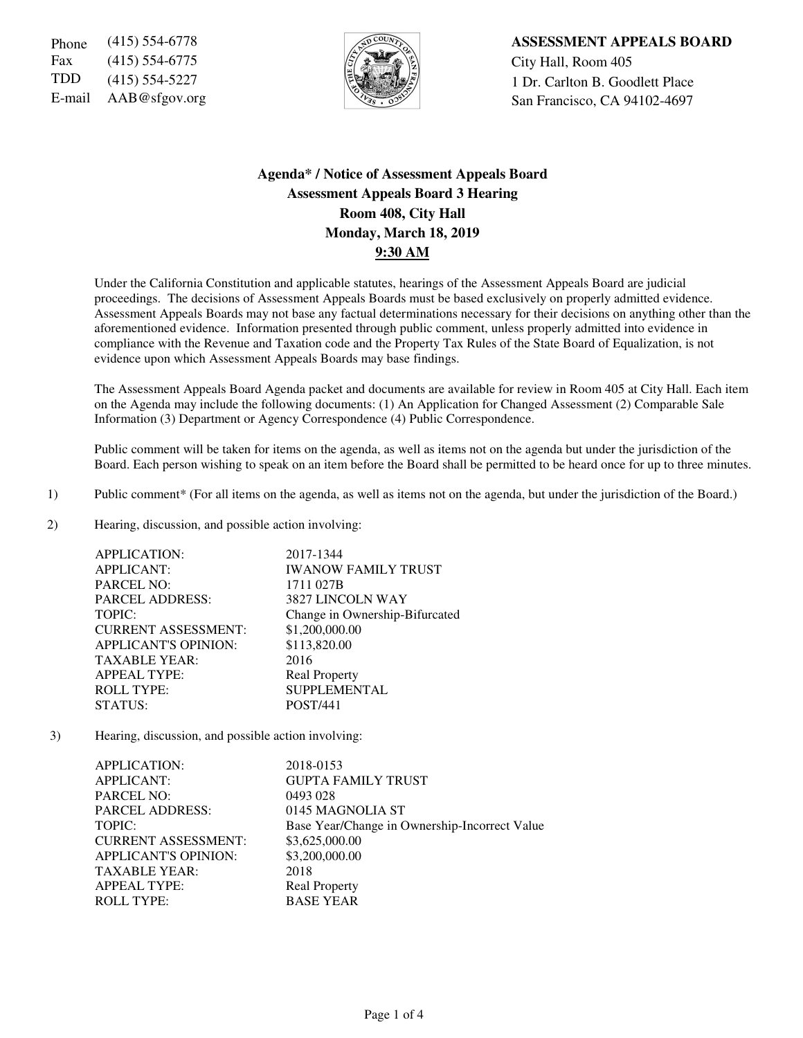Fax (415) 554-6775  $\sqrt{5}$   $\sqrt{2}$   $\sqrt{2}$  City Hall, Room 405



Phone (415) 554-6778 **ASSESSMENT APPEALS BOARD** TDD  $(415)$  554-5227  $\left|\frac{1}{2}\right|$  1 Dr. Carlton B. Goodlett Place E-mail AAB@sfgov.org San Francisco, CA 94102-4697

# **Agenda\* / Notice of Assessment Appeals Board Assessment Appeals Board 3 Hearing Room 408, City Hall Monday, March 18, 2019 9:30 AM**

Under the California Constitution and applicable statutes, hearings of the Assessment Appeals Board are judicial proceedings. The decisions of Assessment Appeals Boards must be based exclusively on properly admitted evidence. Assessment Appeals Boards may not base any factual determinations necessary for their decisions on anything other than the aforementioned evidence. Information presented through public comment, unless properly admitted into evidence in compliance with the Revenue and Taxation code and the Property Tax Rules of the State Board of Equalization, is not evidence upon which Assessment Appeals Boards may base findings.

The Assessment Appeals Board Agenda packet and documents are available for review in Room 405 at City Hall. Each item on the Agenda may include the following documents: (1) An Application for Changed Assessment (2) Comparable Sale Information (3) Department or Agency Correspondence (4) Public Correspondence.

Public comment will be taken for items on the agenda, as well as items not on the agenda but under the jurisdiction of the Board. Each person wishing to speak on an item before the Board shall be permitted to be heard once for up to three minutes.

- 1) Public comment\* (For all items on the agenda, as well as items not on the agenda, but under the jurisdiction of the Board.)
- 2) Hearing, discussion, and possible action involving:

| <b>APPLICATION:</b>         | 2017-1344                      |
|-----------------------------|--------------------------------|
| <b>APPLICANT:</b>           | <b>IWANOW FAMILY TRUST</b>     |
| <b>PARCEL NO:</b>           | 1711 027B                      |
| <b>PARCEL ADDRESS:</b>      | 3827 LINCOLN WAY               |
| TOPIC:                      | Change in Ownership-Bifurcated |
| <b>CURRENT ASSESSMENT:</b>  | \$1,200,000.00                 |
| <b>APPLICANT'S OPINION:</b> | \$113,820.00                   |
| <b>TAXABLE YEAR:</b>        | 2016                           |
| <b>APPEAL TYPE:</b>         | <b>Real Property</b>           |
| <b>ROLL TYPE:</b>           | <b>SUPPLEMENTAL</b>            |
| STATUS:                     | <b>POST/441</b>                |
|                             |                                |

3) Hearing, discussion, and possible action involving:

| APPLICATION:                | 2018-0153                                     |
|-----------------------------|-----------------------------------------------|
| <b>APPLICANT:</b>           | <b>GUPTA FAMILY TRUST</b>                     |
| <b>PARCEL NO:</b>           | 0493 028                                      |
| <b>PARCEL ADDRESS:</b>      | 0145 MAGNOLIA ST                              |
| TOPIC:                      | Base Year/Change in Ownership-Incorrect Value |
| <b>CURRENT ASSESSMENT:</b>  | \$3,625,000.00                                |
| <b>APPLICANT'S OPINION:</b> | \$3,200,000.00                                |
| <b>TAXABLE YEAR:</b>        | 2018                                          |
| <b>APPEAL TYPE:</b>         | <b>Real Property</b>                          |
| <b>ROLL TYPE:</b>           | <b>BASE YEAR</b>                              |
|                             |                                               |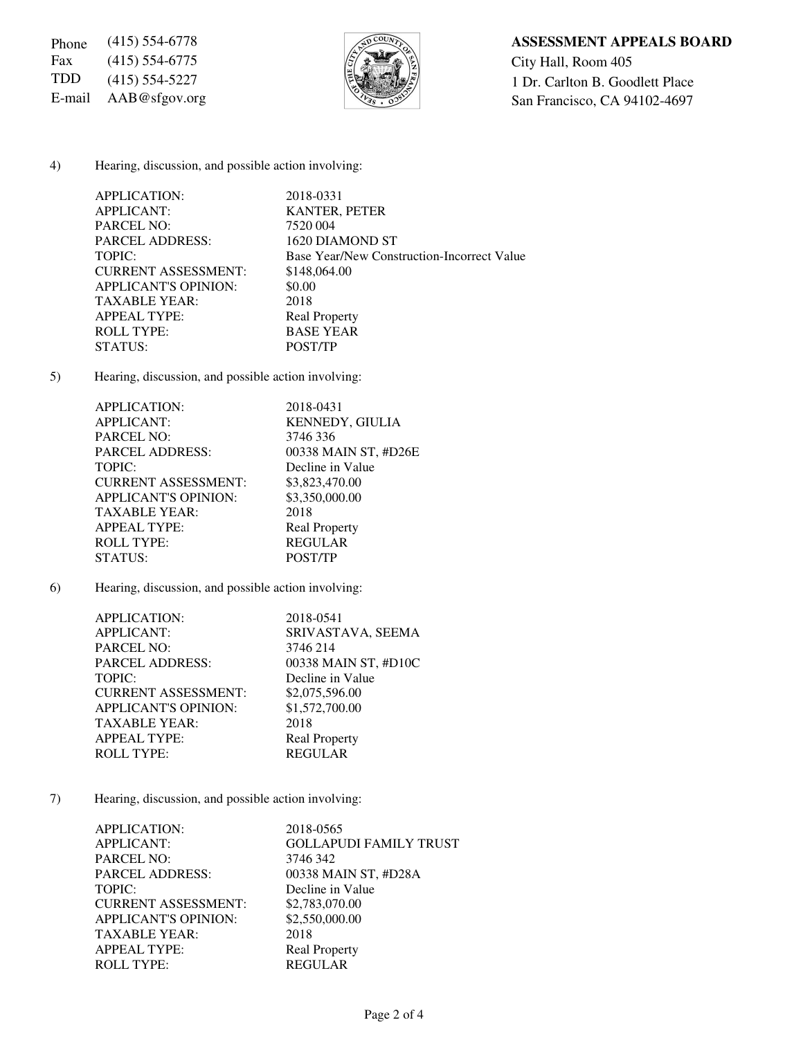Fax (415) 554-6775  $\sqrt{\frac{5}{2}}$  City Hall, Room 405



## Phone (415) 554-6778 **ASSESSMENT APPEALS BOARD**

TDD (415) 554-5227  $\left[\frac{1}{2}\right]$  1 Dr. Carlton B. Goodlett Place E-mail AAB@sfgov.org San Francisco, CA 94102-4697

### 4) Hearing, discussion, and possible action involving:

| APPLICATION:                | 2018-0331                                  |
|-----------------------------|--------------------------------------------|
| <b>APPLICANT:</b>           | <b>KANTER, PETER</b>                       |
| <b>PARCEL NO:</b>           | 7520 004                                   |
| <b>PARCEL ADDRESS:</b>      | 1620 DIAMOND ST                            |
| TOPIC:                      | Base Year/New Construction-Incorrect Value |
| <b>CURRENT ASSESSMENT:</b>  | \$148,064.00                               |
| <b>APPLICANT'S OPINION:</b> | \$0.00                                     |
| <b>TAXABLE YEAR:</b>        | 2018                                       |
| <b>APPEAL TYPE:</b>         | <b>Real Property</b>                       |
| <b>ROLL TYPE:</b>           | <b>BASE YEAR</b>                           |
| STATUS:                     | POST/TP                                    |

5) Hearing, discussion, and possible action involving:

| APPLICATION:                | 2018-0431              |
|-----------------------------|------------------------|
| <b>APPLICANT:</b>           | <b>KENNEDY, GIULIA</b> |
| <b>PARCEL NO:</b>           | 3746 336               |
| <b>PARCEL ADDRESS:</b>      | 00338 MAIN ST, #D26E   |
| TOPIC:                      | Decline in Value       |
| <b>CURRENT ASSESSMENT:</b>  | \$3,823,470.00         |
| <b>APPLICANT'S OPINION:</b> | \$3,350,000.00         |
| <b>TAXABLE YEAR:</b>        | 2018                   |
| <b>APPEAL TYPE:</b>         | <b>Real Property</b>   |
| <b>ROLL TYPE:</b>           | <b>REGULAR</b>         |
| STATUS:                     | POST/TP                |
|                             |                        |

6) Hearing, discussion, and possible action involving:

| APPLICATION:                | 2018-0541            |
|-----------------------------|----------------------|
| <b>APPLICANT:</b>           | SRIVASTAVA, SEEMA    |
| <b>PARCEL NO:</b>           | 3746 214             |
| <b>PARCEL ADDRESS:</b>      | 00338 MAIN ST, #D10C |
| TOPIC:                      | Decline in Value     |
| <b>CURRENT ASSESSMENT:</b>  | \$2,075,596.00       |
| <b>APPLICANT'S OPINION:</b> | \$1,572,700.00       |
| <b>TAXABLE YEAR:</b>        | 2018                 |
| <b>APPEAL TYPE:</b>         | <b>Real Property</b> |
| <b>ROLL TYPE:</b>           | <b>REGULAR</b>       |
|                             |                      |

7) Hearing, discussion, and possible action involving:

| APPLICATION:                | 2018-0565                     |
|-----------------------------|-------------------------------|
| <b>APPLICANT:</b>           | <b>GOLLAPUDI FAMILY TRUST</b> |
| <b>PARCEL NO:</b>           | 3746 342                      |
| <b>PARCEL ADDRESS:</b>      | 00338 MAIN ST, #D28A          |
| TOPIC:                      | Decline in Value              |
| <b>CURRENT ASSESSMENT:</b>  | \$2,783,070.00                |
| <b>APPLICANT'S OPINION:</b> | \$2,550,000.00                |
| <b>TAXABLE YEAR:</b>        | 2018                          |
| <b>APPEAL TYPE:</b>         | <b>Real Property</b>          |
| <b>ROLL TYPE:</b>           | <b>REGULAR</b>                |
|                             |                               |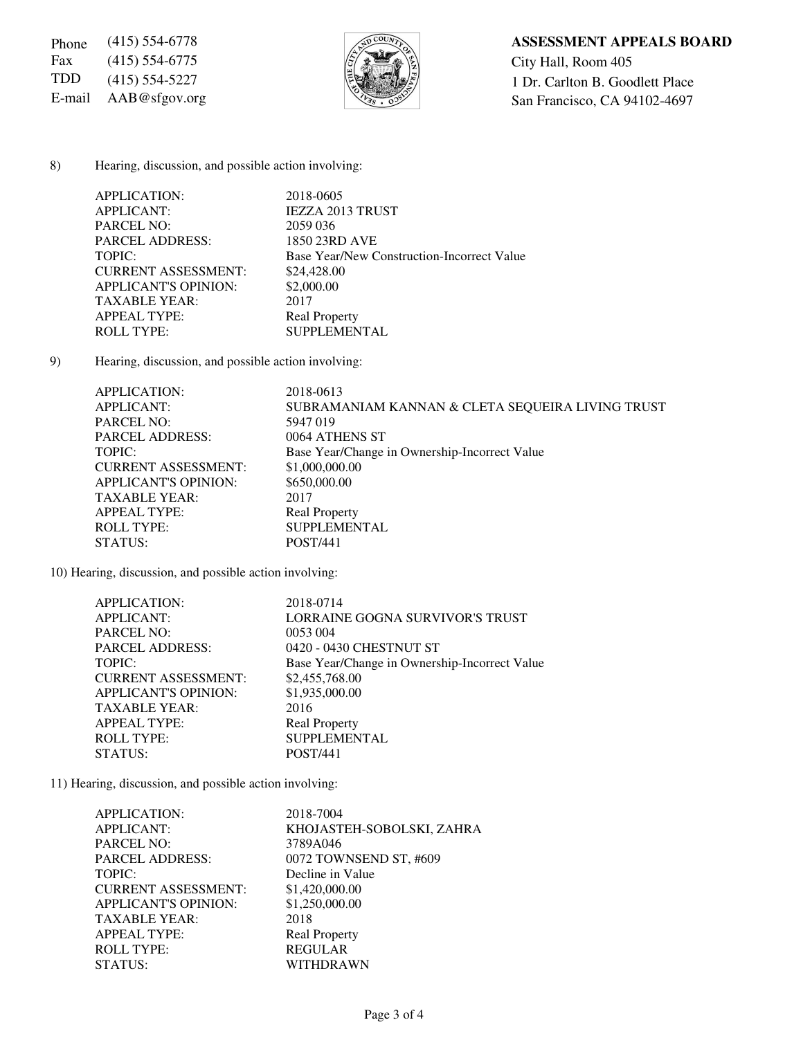Fax (415) 554-6775  $\sqrt{\frac{5}{2}}$  City Hall, Room 405



## Phone (415) 554-6778 **ASSESSMENT APPEALS BOARD**

TDD (415) 554-5227  $\left[\frac{1}{2}\right]$  1 Dr. Carlton B. Goodlett Place E-mail AAB@sfgov.org San Francisco, CA 94102-4697

#### 8) Hearing, discussion, and possible action involving:

| APPLICATION:                | 2018-0605                                  |
|-----------------------------|--------------------------------------------|
| <b>APPLICANT:</b>           | <b>IEZZA 2013 TRUST</b>                    |
| <b>PARCEL NO:</b>           | 2059 036                                   |
| <b>PARCEL ADDRESS:</b>      | 1850 23RD AVE                              |
| TOPIC:                      | Base Year/New Construction-Incorrect Value |
| <b>CURRENT ASSESSMENT:</b>  | \$24,428.00                                |
| <b>APPLICANT'S OPINION:</b> | \$2,000.00                                 |
| <b>TAXABLE YEAR:</b>        | 2017                                       |
| <b>APPEAL TYPE:</b>         | <b>Real Property</b>                       |
| <b>ROLL TYPE:</b>           | <b>SUPPLEMENTAL</b>                        |

9) Hearing, discussion, and possible action involving:

| APPLICATION:                | 2018-0613                                        |
|-----------------------------|--------------------------------------------------|
| APPLICANT:                  | SUBRAMANIAM KANNAN & CLETA SEQUEIRA LIVING TRUST |
| <b>PARCEL NO:</b>           | 5947 019                                         |
| <b>PARCEL ADDRESS:</b>      | 0064 ATHENS ST                                   |
| TOPIC:                      | Base Year/Change in Ownership-Incorrect Value    |
| <b>CURRENT ASSESSMENT:</b>  | \$1,000,000.00                                   |
| <b>APPLICANT'S OPINION:</b> | \$650,000.00                                     |
| TAXABLE YEAR:               | 2017                                             |
| <b>APPEAL TYPE:</b>         | <b>Real Property</b>                             |
| <b>ROLL TYPE:</b>           | <b>SUPPLEMENTAL</b>                              |
| STATUS:                     | <b>POST/441</b>                                  |

10) Hearing, discussion, and possible action involving:

| APPLICATION:                | 2018-0714                                     |
|-----------------------------|-----------------------------------------------|
| <b>APPLICANT:</b>           | LORRAINE GOGNA SURVIVOR'S TRUST               |
| <b>PARCEL NO:</b>           | 0053 004                                      |
| <b>PARCEL ADDRESS:</b>      | 0420 - 0430 CHESTNUT ST                       |
| TOPIC:                      | Base Year/Change in Ownership-Incorrect Value |
| <b>CURRENT ASSESSMENT:</b>  | \$2,455,768.00                                |
| <b>APPLICANT'S OPINION:</b> | \$1,935,000.00                                |
| <b>TAXABLE YEAR:</b>        | 2016                                          |
| <b>APPEAL TYPE:</b>         | <b>Real Property</b>                          |
| <b>ROLL TYPE:</b>           | <b>SUPPLEMENTAL</b>                           |
| STATUS:                     | <b>POST/441</b>                               |
|                             |                                               |

11) Hearing, discussion, and possible action involving:

| APPLICATION:                | 2018-7004                 |
|-----------------------------|---------------------------|
| APPLICANT:                  | KHOJASTEH-SOBOLSKI, ZAHRA |
| <b>PARCEL NO:</b>           | 3789A046                  |
| <b>PARCEL ADDRESS:</b>      | 0072 TOWNSEND ST, #609    |
| TOPIC:                      | Decline in Value          |
| <b>CURRENT ASSESSMENT:</b>  | \$1,420,000.00            |
| <b>APPLICANT'S OPINION:</b> | \$1,250,000.00            |
| <b>TAXABLE YEAR:</b>        | 2018                      |
| <b>APPEAL TYPE:</b>         | <b>Real Property</b>      |
| <b>ROLL TYPE:</b>           | <b>REGULAR</b>            |
| STATUS:                     | WITHDRAWN                 |
|                             |                           |